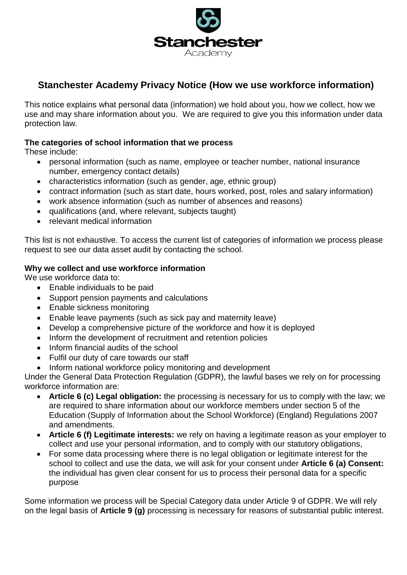

# **Stanchester Academy Privacy Notice (How we use workforce information)**

This notice explains what personal data (information) we hold about you, how we collect, how we use and may share information about you. We are required to give you this information under data protection law.

### **The categories of school information that we process**

These include:

- personal information (such as name, employee or teacher number, national insurance number, emergency contact details)
- characteristics information (such as gender, age, ethnic group)
- contract information (such as start date, hours worked, post, roles and salary information)
- work absence information (such as number of absences and reasons)
- qualifications (and, where relevant, subjects taught)
- relevant medical information

This list is not exhaustive. To access the current list of categories of information we process please request to see our data asset audit by contacting the school.

### **Why we collect and use workforce information**

We use workforce data to:

- Enable individuals to be paid
- Support pension payments and calculations
- Enable sickness monitoring
- Enable leave payments (such as sick pay and maternity leave)
- Develop a comprehensive picture of the workforce and how it is deployed
- Inform the development of recruitment and retention policies
- Inform financial audits of the school
- Fulfil our duty of care towards our staff
- Inform national workforce policy monitoring and development

Under the General Data Protection Regulation (GDPR), the lawful bases we rely on for processing workforce information are:

- **Article 6 (c) Legal obligation:** the processing is necessary for us to comply with the law; we are required to share information about our workforce members under section 5 of the Education (Supply of Information about the School Workforce) (England) Regulations 2007 and amendments.
- **Article 6 (f) Legitimate interests:** we rely on having a legitimate reason as your employer to collect and use your personal information, and to comply with our statutory obligations,
- For some data processing where there is no legal obligation or legitimate interest for the school to collect and use the data, we will ask for your consent under **Article 6 (a) Consent:** the individual has given clear consent for us to process their personal data for a specific purpose

Some information we process will be Special Category data under Article 9 of GDPR. We will rely on the legal basis of **Article 9 (g)** processing is necessary for reasons of substantial public interest.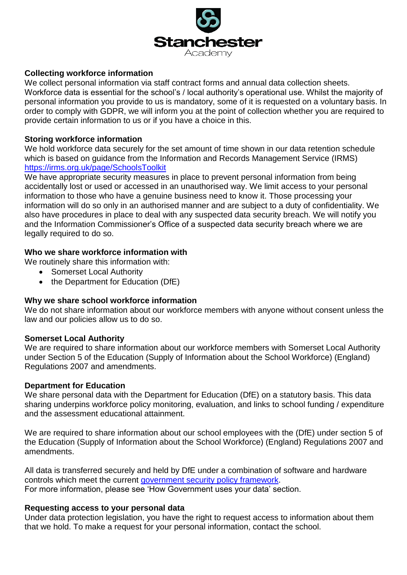

### **Collecting workforce information**

We collect personal information via staff contract forms and annual data collection sheets. Workforce data is essential for the school's / local authority's operational use. Whilst the majority of personal information you provide to us is mandatory, some of it is requested on a voluntary basis. In order to comply with GDPR, we will inform you at the point of collection whether you are required to provide certain information to us or if you have a choice in this.

### **Storing workforce information**

We hold workforce data securely for the set amount of time shown in our data retention schedule which is based on guidance from the Information and Records Management Service (IRMS) <https://irms.org.uk/page/SchoolsToolkit>

We have appropriate security measures in place to prevent personal information from being accidentally lost or used or accessed in an unauthorised way. We limit access to your personal information to those who have a genuine business need to know it. Those processing your information will do so only in an authorised manner and are subject to a duty of confidentiality. We also have procedures in place to deal with any suspected data security breach. We will notify you and the Information Commissioner's Office of a suspected data security breach where we are legally required to do so.

#### **Who we share workforce information with**

- We routinely share this information with:
	- Somerset Local Authority
	- the Department for Education (DfE)

#### **Why we share school workforce information**

We do not share information about our workforce members with anyone without consent unless the law and our policies allow us to do so.

#### **Somerset Local Authority**

We are required to share information about our workforce members with Somerset Local Authority under Section 5 of the Education (Supply of Information about the School Workforce) (England) Regulations 2007 and amendments.

#### **Department for Education**

We share personal data with the Department for Education (DfE) on a statutory basis. This data sharing underpins workforce policy monitoring, evaluation, and links to school funding / expenditure and the assessment educational attainment.

We are required to share information about our school employees with the (DfE) under section 5 of the Education (Supply of Information about the School Workforce) (England) Regulations 2007 and amendments.

All data is transferred securely and held by DfE under a combination of software and hardware controls which meet the current [government security policy framework.](https://www.gov.uk/government/publications/security-policy-framework) For more information, please see 'How Government uses your data' section.

### **Requesting access to your personal data**

Under data protection legislation, you have the right to request access to information about them that we hold. To make a request for your personal information, contact the school.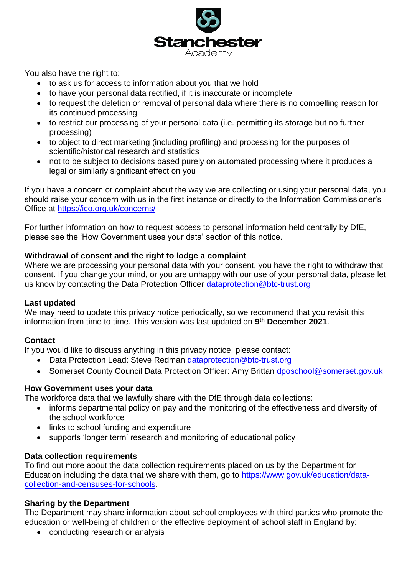

You also have the right to:

- to ask us for access to information about you that we hold
- to have your personal data rectified, if it is inaccurate or incomplete
- to request the deletion or removal of personal data where there is no compelling reason for its continued processing
- to restrict our processing of your personal data (i.e. permitting its storage but no further processing)
- to object to direct marketing (including profiling) and processing for the purposes of scientific/historical research and statistics
- not to be subject to decisions based purely on automated processing where it produces a legal or similarly significant effect on you

If you have a concern or complaint about the way we are collecting or using your personal data, you should raise your concern with us in the first instance or directly to the Information Commissioner's Office at<https://ico.org.uk/concerns/>

For further information on how to request access to personal information held centrally by DfE, please see the 'How Government uses your data' section of this notice.

# **Withdrawal of consent and the right to lodge a complaint**

Where we are processing your personal data with your consent, you have the right to withdraw that consent. If you change your mind, or you are unhappy with our use of your personal data, please let us know by contacting the Data Protection Officer [dataprotection@btc-trust.org](mailto:dataprotection@btc-trust.org)

# **Last updated**

We may need to update this privacy notice periodically, so we recommend that you revisit this information from time to time. This version was last updated on **9 th December 2021**.

# **Contact**

If you would like to discuss anything in this privacy notice, please contact:

- Data Protection Lead: Steve Redman dataprotection@btc-trust.org
- Somerset County Council Data Protection Officer: Amy Brittan [dposchool@somerset.gov.uk](mailto:dposchool@somerset.gov.uk)

# **How Government uses your data**

The workforce data that we lawfully share with the DfE through data collections:

- informs departmental policy on pay and the monitoring of the effectiveness and diversity of the school workforce
- links to school funding and expenditure
- supports 'longer term' research and monitoring of educational policy

# **Data collection requirements**

To find out more about the data collection requirements placed on us by the Department for Education including the data that we share with them, go to [https://www.gov.uk/education/data](https://www.gov.uk/education/data-collection-and-censuses-for-schools)[collection-and-censuses-for-schools.](https://www.gov.uk/education/data-collection-and-censuses-for-schools)

# **Sharing by the Department**

The Department may share information about school employees with third parties who promote the education or well-being of children or the effective deployment of school staff in England by:

• conducting research or analysis